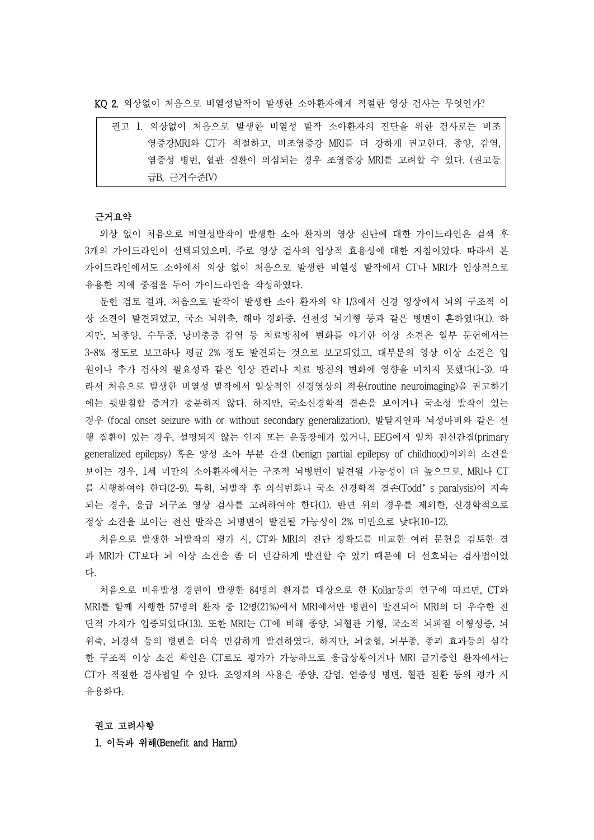KQ 2. 외상없이 처음으로 비열성발작이 발생한 소아환자에게 적절한 영상 검사는 무엇인가?

| 권고 1. 외상없이 처음으로 발생한 비열성 발작 소아환자의 진단을 위한 검사로는 비조  |  |
|--------------------------------------------------|--|
| 영증강MRI와 CT가 적절하고, 비조영증강 MRI를 더 강하게 권고한다. 종양, 감염, |  |
| 염증성 병변, 혈관 질환이 의심되는 경우 조영증강 MRI를 고려할 수 있다. (권고등  |  |
| 급B. 근거수주IV)                                      |  |

# 근거요약

외상 없이 처음으로 비열성발작이 발생한 소아 환자의 영상 진단에 대한 가이드라인은 검색 후 3개의 가이드라인이 선택되었으며, 주로 영상 검사의 임상적 효용성에 대한 지침이었다. 따라서 본 가이드라인에서도 소아에서 외상 없이 처음으로 발생한 비열성 발작에서 CT나 MRI가 임상적으로 유용한 지에 중점을 두어 가이드라인을 작성하였다.<br>-<br>문헌 검토 결과, 처음으로 발작이 발생한 소아 환자의 약 1/3에서 신경 영상에서 뇌의 구조적 이

상 소견이 발견되었고, 국소 뇌위축, 해마 경화증, 선천성 뇌기형 등과 같은 병변이 흔하였다(1). 하 지만, 뇌종양, 수두증, 낭미충증 감염 등 치료방침에 변화를 야기한 이상 소견은 일부 문헌에서는 3-8% 정도로 보고하나 평균 2% 정도 발견되는 것으로 보고되었고, 대부분의 영상 이상 소견은 입 원이나 추가 검사의 필요성과 같은 임상 관리나 치료 방침의 변화에 영향을 미치지 못했다(1-3). 따 라서 처음으로 발생한 비열성 발작에서 일상적인 신경영상의 적용(routine neuroimaging)을 권고하기 에는 뒷받침할 증거가 충분하지 않다. 하지만, 국소신경학적 결손을 보이거나 국소성 발작이 있는 경우 (focal onset seizure with or without secondary generalization), 발달지연과 뇌성마비와 같은 선 행 질환이 있는 경우, 설명되지 않는 인지 또는 운동장애가 있거나, EEG에서 일차 전신간질(primary generalized epilepsy) 혹은 양성 소아 부분 간질 (benign partial epilepsy of childhood)이외의 소견을 보이는 경우, 1세 미만의 소아환자에서는 구조적 뇌병변이 발견될 가능성이 더 높으므로, MRI나 CT 를 시행하여야 한다(2-9). 특히, 뇌발작 후 의식변화나 국소 신경학적 결손(Todd's paralysis)이 지속 되는 경우, 응급 뇌구조 영상 검사를 고려하여야 한다(1). 반면 위의 경우를 제외한, 신경학적으로 정상 소견을 보이는 전신 발작은 뇌병변이 발견될 가능성이 2% 미만으로 낮다(10-12).

처음으로 발생한 뇌발작의 평가 시, CT와 MRI의 진단 정확도를 비교한 여러 문헌을 검토한 결 과 MRI가 CT보다 뇌 이상 소견을 좀 더 민감하게 발견할 수 있기 때문에 더 선호되는 검사법이었 다.

처음으로 비유발성 경련이 발생한 84명의 환자를 대상으로 한 Kollar등의 연구에 따르면, CT와 MRI를 함께 시행한 57명의 환자 중 12명(21%)에서 MRI에서만 병변이 발견되어 MRI의 더 우수한 진 단적 가치가 입증되었다(13). 또한 MRI는 CT에 비해 종양, 뇌혈관 기형, 국소적 뇌피질 이형성증, 뇌 위축, 뇌경색 등의 병변을 더욱 민감하게 발견하였다. 하지만, 뇌출혈, 뇌부종, 종괴 효과등의 심각 한 구조적 이상 소견 확인은 CT로도 평가가 가능하므로 응급상황이거나 MRI 금기증인 환자에서는 CT가 적절한 검사법일 수 있다. 조영제의 사용은 종양, 감염, 염증성 병변, 혈관 질환 등의 평가 시 유용하다.

## 권고 고려사항

1. 이득과 위해(Benefit and Harm)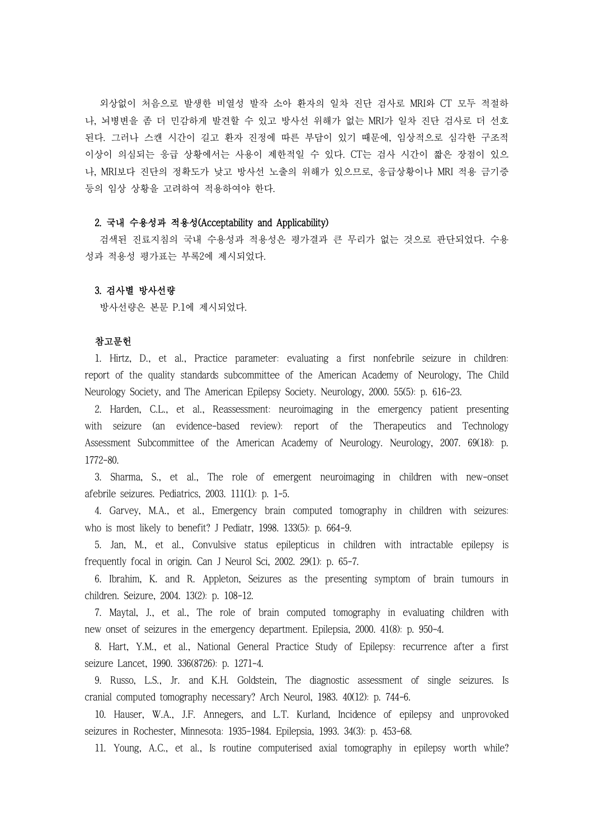외상없이 처음으로 발생한 비열성 발작 소아 환자의 일차 진단 검사로 MRI와 CT 모두 적절하 나, 뇌병변을 좀 더 민감하게 발견할 수 있고 방사선 위해가 없는 MRI가 일차 진단 검사로 더 선호 된다. 그러나 스캔 시간이 길고 환자 진정에 따른 부담이 있기 때문에, 임상적으로 심각한 구조적 이상이 의심되는 응급 상황에서는 사용이 제한적일 수 있다. CT는 검사 시간이 짧은 장점이 있으 나, MRI보다 진단의 정확도가 낮고 방사선 노출의 위해가 있으므로, 응급상황이나 MRI 적용 금기증 등의 임상 상황을 고려하여 적용하여야 한다.

## 2. 국내 수용성과 적용성(Acceptability and Applicability)

검색된 진료지침의 국내 수용성과 적용성은 평가결과 큰 무리가 없는 것으로 판단되었다. 수용 성과 적용성 평가표는 부록2에 제시되었다.

## 3. 검사별 방사선량

방사선량은 본문 P.1에 제시되었다.

#### 참고문헌

1. Hirtz, D., et al., Practice parameter: evaluating a first nonfebrile seizure in children: report of the quality standards subcommittee of the American Academy of Neurology, The Child Neurology Society, and The American Epilepsy Society. Neurology, 2000. 55(5): p. 616-23.

2. Harden, C.L., et al., Reassessment: neuroimaging in the emergency patient presenting with seizure (an evidence-based review): report of the Therapeutics and Technology Assessment Subcommittee of the American Academy of Neurology. Neurology, 2007. 69(18): p. 1772-80.

3. Sharma, S., et al., The role of emergent neuroimaging in children with new-onset afebrile seizures. Pediatrics, 2003. 111(1): p. 1-5.

4. Garvey, M.A., et al., Emergency brain computed tomography in children with seizures: who is most likely to benefit? J Pediatr, 1998. 133(5): p. 664-9.

5. Jan, M., et al., Convulsive status epilepticus in children with intractable epilepsy is frequently focal in origin. Can J Neurol Sci, 2002. 29(1): p. 65-7.

6. Ibrahim, K. and R. Appleton, Seizures as the presenting symptom of brain tumours in children. Seizure, 2004. 13(2): p. 108-12.

7. Maytal, J., et al., The role of brain computed tomography in evaluating children with new onset of seizures in the emergency department. Epilepsia, 2000. 41(8): p. 950-4.

8. Hart, Y.M., et al., National General Practice Study of Epilepsy: recurrence after a first seizure Lancet, 1990. 336(8726): p. 1271-4.

9. Russo, L.S., Jr. and K.H. Goldstein, The diagnostic assessment of single seizures. Is cranial computed tomography necessary? Arch Neurol, 1983. 40(12): p. 744-6.

10. Hauser, W.A., J.F. Annegers, and L.T. Kurland, Incidence of epilepsy and unprovoked seizures in Rochester, Minnesota: 1935-1984. Epilepsia, 1993. 34(3): p. 453-68.

11. Young, A.C., et al., Is routine computerised axial tomography in epilepsy worth while?